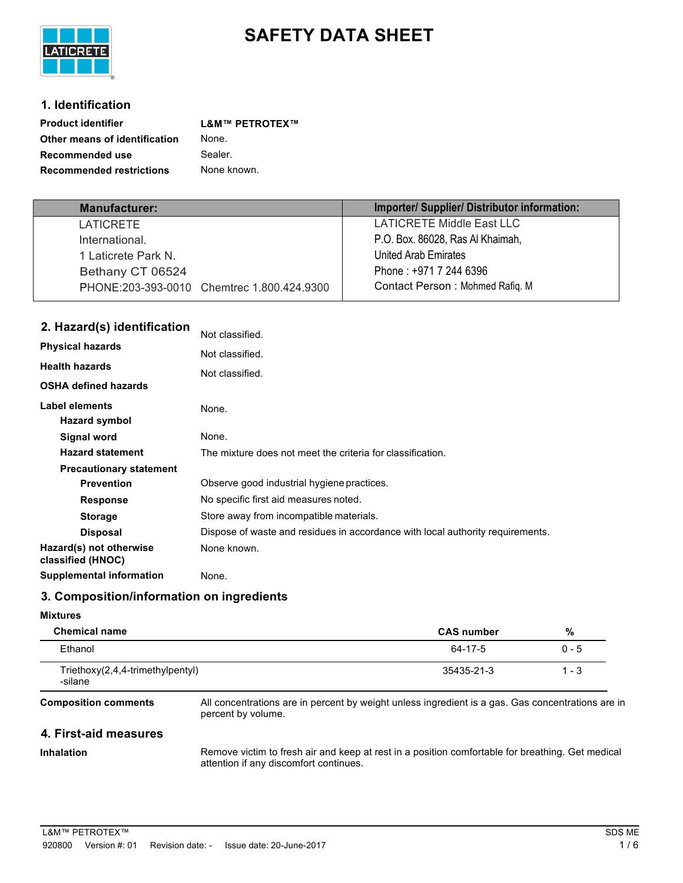

# **SAFETY DATA SHEET**

## **1. Identification**

**LATICRETE** 

| <b>Product identifier</b>       | <b>L&amp;M™ PETROTEX™</b> |
|---------------------------------|---------------------------|
| Other means of identification   | None.                     |
| Recommended use                 | Sealer.                   |
| <b>Recommended restrictions</b> | None known.               |

| <b>Manufacturer:</b>                       | Importer/Supplier/Distributor information: |
|--------------------------------------------|--------------------------------------------|
| <b>LATICRETE</b>                           | <b>LATICRETE Middle East LLC</b>           |
| International.                             | P.O. Box. 86028, Ras Al Khaimah,           |
| 1 Laticrete Park N.                        | United Arab Emirates                       |
| Bethany CT 06524                           | Phone: +971 7 244 6396                     |
| PHONE:203-393-0010 Chemirec 1.800.424.9300 | Contact Person: Mohmed Rafiq. M            |

| 2. Hazard(s) identification                  | Not classified.                                                                |
|----------------------------------------------|--------------------------------------------------------------------------------|
| <b>Physical hazards</b>                      | Not classified.                                                                |
| <b>Health hazards</b>                        |                                                                                |
| <b>OSHA defined hazards</b>                  | Not classified.                                                                |
| <b>Label elements</b>                        | None.                                                                          |
| Hazard symbol                                |                                                                                |
| <b>Signal word</b>                           | None.                                                                          |
| <b>Hazard statement</b>                      | The mixture does not meet the criteria for classification.                     |
| <b>Precautionary statement</b>               |                                                                                |
| <b>Prevention</b>                            | Observe good industrial hygiene practices.                                     |
| <b>Response</b>                              | No specific first aid measures noted.                                          |
| <b>Storage</b>                               | Store away from incompatible materials.                                        |
| <b>Disposal</b>                              | Dispose of waste and residues in accordance with local authority requirements. |
| Hazard(s) not otherwise<br>classified (HNOC) | None known.                                                                    |
| <b>Supplemental information</b>              | None.                                                                          |

## **3. Composition/information on ingredients**

#### **Mixtures**

| <b>Chemical name</b>                          | <b>CAS number</b> | %       |
|-----------------------------------------------|-------------------|---------|
| Ethanol                                       | 64-17-5           | 0 - 5   |
| $Triethoxy(2,4,4-trimethylpentyl)$<br>-silane | 35435-21-3        | $1 - 3$ |

**Composition comments**

All concentrations are in percent by weight unless ingredient is a gas. Gas concentrations are in percent by volume.

## **4. First-aid measures**

#### **Inhalation**

Remove victim to fresh air and keep at rest in a position comfortable for breathing. Get medical attention if any discomfort continues.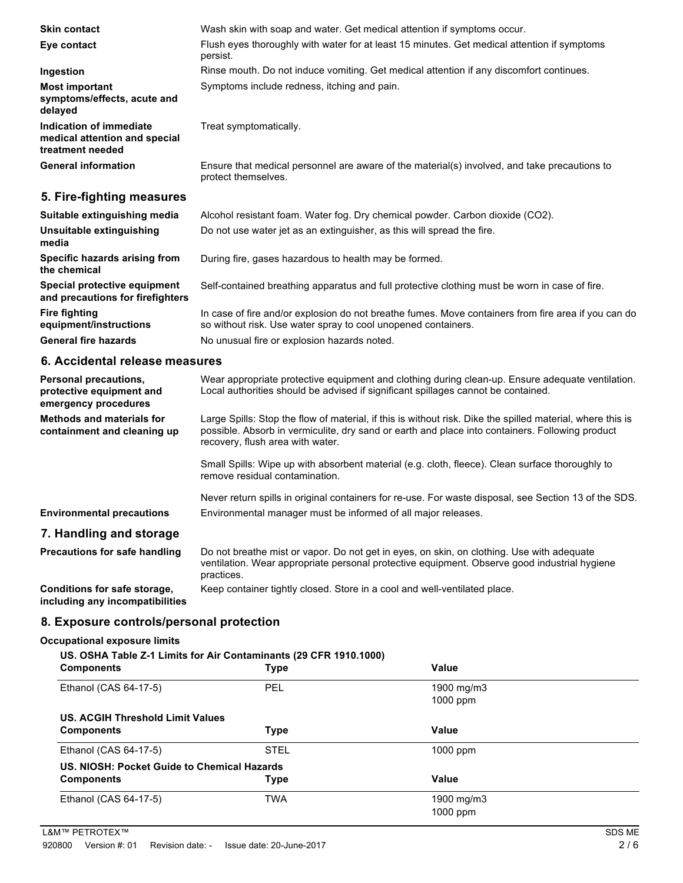| <b>Skin contact</b>                                                          | Wash skin with soap and water. Get medical attention if symptoms occur.                                             |
|------------------------------------------------------------------------------|---------------------------------------------------------------------------------------------------------------------|
| Eye contact                                                                  | Flush eyes thoroughly with water for at least 15 minutes. Get medical attention if symptoms<br>persist.             |
| Ingestion                                                                    | Rinse mouth. Do not induce vomiting. Get medical attention if any discomfort continues.                             |
| <b>Most important</b><br>symptoms/effects, acute and<br>delayed              | Symptoms include redness, itching and pain.                                                                         |
| Indication of immediate<br>medical attention and special<br>treatment needed | Treat symptomatically.                                                                                              |
| <b>General information</b>                                                   | Ensure that medical personnel are aware of the material(s) involved, and take precautions to<br>protect themselves. |

## **5. Fire-fighting measures**

| Suitable extinguishing media                                     | Alcohol resistant foam. Water fog. Dry chemical powder. Carbon dioxide (CO2).                                                                                        |
|------------------------------------------------------------------|----------------------------------------------------------------------------------------------------------------------------------------------------------------------|
| Unsuitable extinguishing<br>media                                | Do not use water jet as an extinguisher, as this will spread the fire.                                                                                               |
| Specific hazards arising from<br>the chemical                    | During fire, gases hazardous to health may be formed.                                                                                                                |
| Special protective equipment<br>and precautions for firefighters | Self-contained breathing apparatus and full protective clothing must be worn in case of fire.                                                                        |
| Fire fighting<br>equipment/instructions                          | In case of fire and/or explosion do not breathe fumes. Move containers from fire area if you can do<br>so without risk. Use water spray to cool unopened containers. |
| <b>General fire hazards</b>                                      | No unusual fire or explosion hazards noted.                                                                                                                          |

### **6. Accidental release measures**

| Personal precautions,<br>protective equipment and<br>emergency procedures | Wear appropriate protective equipment and clothing during clean-up. Ensure adequate ventilation.<br>Local authorities should be advised if significant spillages cannot be contained.                                                             |
|---------------------------------------------------------------------------|---------------------------------------------------------------------------------------------------------------------------------------------------------------------------------------------------------------------------------------------------|
| <b>Methods and materials for</b><br>containment and cleaning up           | Large Spills: Stop the flow of material, if this is without risk. Dike the spilled material, where this is<br>possible. Absorb in vermiculite, dry sand or earth and place into containers. Following product<br>recovery, flush area with water. |
|                                                                           | Small Spills: Wipe up with absorbent material (e.g. cloth, fleece). Clean surface thoroughly to<br>remove residual contamination.                                                                                                                 |
|                                                                           | Never return spills in original containers for re-use. For waste disposal, see Section 13 of the SDS.                                                                                                                                             |
| <b>Environmental precautions</b>                                          | Environmental manager must be informed of all major releases.                                                                                                                                                                                     |
| 7. Handling and storage                                                   |                                                                                                                                                                                                                                                   |
| <b>Precautions for safe handling</b>                                      | Do not breathe mist or vapor. Do not get in eyes, on skin, on clothing. Use with adequate<br>ventilation. Wear appropriate personal protective equipment. Observe good industrial hygiene<br>practices.                                           |
| Conditions for safe storage,                                              | Keep container tightly closed. Store in a cool and well-ventilated place.                                                                                                                                                                         |

**including any incompatibilities**

## **8. Exposure controls/personal protection**

## **Occupational exposure limits**

| <b>Components</b>                           | US. OSHA Table Z-1 Limits for Air Contaminants (29 CFR 1910.1000)<br><b>Type</b> | Value      |  |
|---------------------------------------------|----------------------------------------------------------------------------------|------------|--|
| Ethanol (CAS 64-17-5)                       | <b>PEL</b>                                                                       | 1900 mg/m3 |  |
|                                             |                                                                                  | $1000$ ppm |  |
| US. ACGIH Threshold Limit Values            |                                                                                  |            |  |
| <b>Components</b>                           | <b>Type</b>                                                                      | Value      |  |
| Ethanol (CAS 64-17-5)                       | <b>STEL</b>                                                                      | $1000$ ppm |  |
| US. NIOSH: Pocket Guide to Chemical Hazards |                                                                                  |            |  |
| <b>Components</b>                           | <b>Type</b>                                                                      | Value      |  |
| Ethanol (CAS 64-17-5)                       | <b>TWA</b>                                                                       | 1900 mg/m3 |  |
|                                             |                                                                                  | $1000$ ppm |  |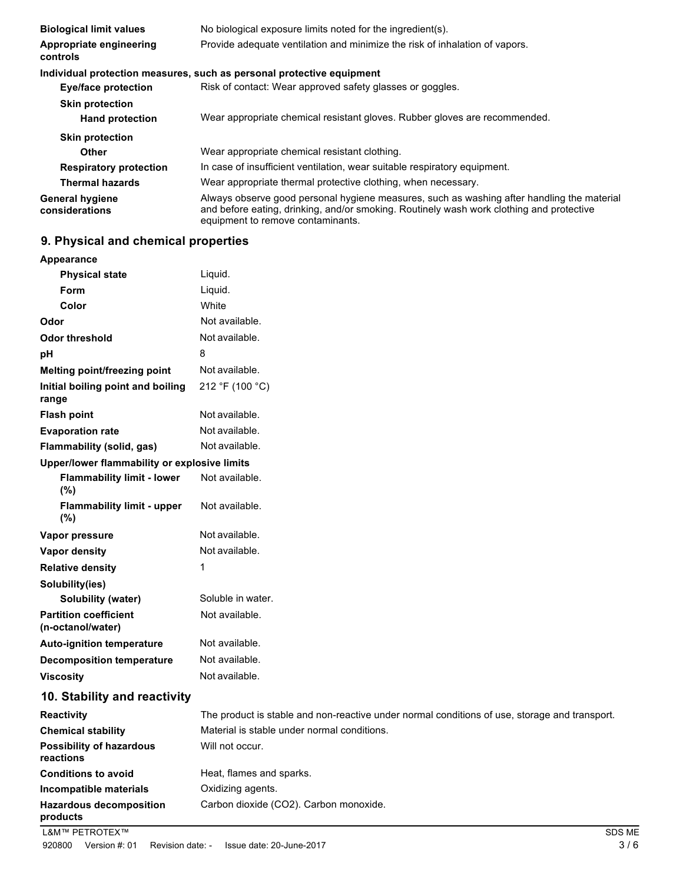| <b>Biological limit values</b>           | No biological exposure limits noted for the ingredient(s).                                                                                                                                                                  |
|------------------------------------------|-----------------------------------------------------------------------------------------------------------------------------------------------------------------------------------------------------------------------------|
| Appropriate engineering<br>controls      | Provide adequate ventilation and minimize the risk of inhalation of vapors.                                                                                                                                                 |
|                                          | Individual protection measures, such as personal protective equipment                                                                                                                                                       |
| Eye/face protection                      | Risk of contact: Wear approved safety glasses or goggles.                                                                                                                                                                   |
| <b>Skin protection</b>                   |                                                                                                                                                                                                                             |
| <b>Hand protection</b>                   | Wear appropriate chemical resistant gloves. Rubber gloves are recommended.                                                                                                                                                  |
| <b>Skin protection</b>                   |                                                                                                                                                                                                                             |
| <b>Other</b>                             | Wear appropriate chemical resistant clothing.                                                                                                                                                                               |
| <b>Respiratory protection</b>            | In case of insufficient ventilation, wear suitable respiratory equipment.                                                                                                                                                   |
| <b>Thermal hazards</b>                   | Wear appropriate thermal protective clothing, when necessary.                                                                                                                                                               |
| <b>General hygiene</b><br>considerations | Always observe good personal hygiene measures, such as washing after handling the material<br>and before eating, drinking, and/or smoking. Routinely wash work clothing and protective<br>equipment to remove contaminants. |

## **9. Physical and chemical properties**

| <b>Appearance</b>                                 |                                                                                               |
|---------------------------------------------------|-----------------------------------------------------------------------------------------------|
| <b>Physical state</b>                             | Liquid.                                                                                       |
| Form                                              | Liquid.                                                                                       |
| Color                                             | White                                                                                         |
| Odor                                              | Not available.                                                                                |
| <b>Odor threshold</b>                             | Not available.                                                                                |
| рH                                                | 8                                                                                             |
| Melting point/freezing point                      | Not available.                                                                                |
| Initial boiling point and boiling<br>range        | 212 °F (100 °C)                                                                               |
| <b>Flash point</b>                                | Not available.                                                                                |
| <b>Evaporation rate</b>                           | Not available.                                                                                |
| Flammability (solid, gas)                         | Not available.                                                                                |
| Upper/lower flammability or explosive limits      |                                                                                               |
| <b>Flammability limit - lower</b><br>(%)          | Not available.                                                                                |
| <b>Flammability limit - upper</b><br>(%)          | Not available.                                                                                |
| Vapor pressure                                    | Not available.                                                                                |
| <b>Vapor density</b>                              | Not available.                                                                                |
| <b>Relative density</b>                           | 1                                                                                             |
| Solubility(ies)                                   |                                                                                               |
| Solubility (water)                                | Soluble in water.                                                                             |
| <b>Partition coefficient</b><br>(n-octanol/water) | Not available.                                                                                |
| <b>Auto-ignition temperature</b>                  | Not available.                                                                                |
| <b>Decomposition temperature</b>                  | Not available.                                                                                |
| <b>Viscosity</b>                                  | Not available.                                                                                |
| 10. Stability and reactivity                      |                                                                                               |
| Reactivity                                        | The product is stable and non-reactive under normal conditions of use, storage and transport. |
| <b>Chemical stability</b>                         | Material is stable under normal conditions.                                                   |
| <b>Possibility of hazardous</b><br>reactions      | Will not occur.                                                                               |
| <b>Conditions to avoid</b>                        | Heat, flames and sparks.                                                                      |
| Incompatible materials                            | Oxidizing agents.                                                                             |
| <b>Hazardous decomposition</b><br>products        | Carbon dioxide (CO2). Carbon monoxide.                                                        |
| L&M™ PETROTEX™                                    | SDS                                                                                           |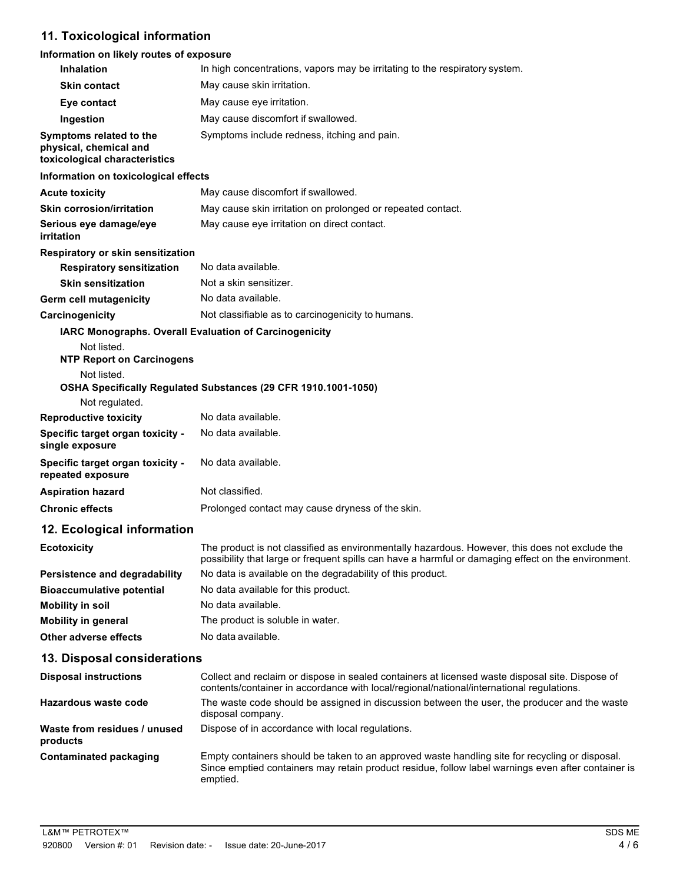## **11. Toxicological information**

#### **Information on likely routes of exposure**

| <b>Inhalation</b>                                                                  | In high concentrations, vapors may be irritating to the respiratory system.                                                                                                                           |
|------------------------------------------------------------------------------------|-------------------------------------------------------------------------------------------------------------------------------------------------------------------------------------------------------|
| <b>Skin contact</b>                                                                | May cause skin irritation.                                                                                                                                                                            |
| Eye contact                                                                        | May cause eye irritation.                                                                                                                                                                             |
| Ingestion                                                                          | May cause discomfort if swallowed.                                                                                                                                                                    |
| Symptoms related to the<br>physical, chemical and<br>toxicological characteristics | Symptoms include redness, itching and pain.                                                                                                                                                           |
| Information on toxicological effects                                               |                                                                                                                                                                                                       |
| <b>Acute toxicity</b>                                                              | May cause discomfort if swallowed.                                                                                                                                                                    |
| <b>Skin corrosion/irritation</b>                                                   | May cause skin irritation on prolonged or repeated contact.                                                                                                                                           |
| Serious eye damage/eye<br>irritation                                               | May cause eye irritation on direct contact.                                                                                                                                                           |
| Respiratory or skin sensitization                                                  |                                                                                                                                                                                                       |
| <b>Respiratory sensitization</b>                                                   | No data available.                                                                                                                                                                                    |
| <b>Skin sensitization</b>                                                          | Not a skin sensitizer.                                                                                                                                                                                |
| <b>Germ cell mutagenicity</b>                                                      | No data available.                                                                                                                                                                                    |
| Carcinogenicity                                                                    | Not classifiable as to carcinogenicity to humans.                                                                                                                                                     |
|                                                                                    | IARC Monographs. Overall Evaluation of Carcinogenicity                                                                                                                                                |
| Not listed.<br><b>NTP Report on Carcinogens</b>                                    |                                                                                                                                                                                                       |
| Not listed.                                                                        | OSHA Specifically Regulated Substances (29 CFR 1910.1001-1050)                                                                                                                                        |
| Not regulated.                                                                     |                                                                                                                                                                                                       |
| <b>Reproductive toxicity</b>                                                       | No data available.                                                                                                                                                                                    |
| Specific target organ toxicity -<br>single exposure                                | No data available.                                                                                                                                                                                    |
| Specific target organ toxicity -<br>repeated exposure                              | No data available.                                                                                                                                                                                    |
| <b>Aspiration hazard</b>                                                           | Not classified.                                                                                                                                                                                       |
| <b>Chronic effects</b>                                                             | Prolonged contact may cause dryness of the skin.                                                                                                                                                      |
| 12. Ecological information                                                         |                                                                                                                                                                                                       |
| <b>Ecotoxicity</b>                                                                 | The product is not classified as environmentally hazardous. However, this does not exclude the<br>possibility that large or frequent spills can have a harmful or damaging effect on the environment. |
| Persistence and degradability                                                      | No data is available on the degradability of this product.                                                                                                                                            |
| <b>Bioaccumulative potential</b>                                                   | No data available for this product.                                                                                                                                                                   |
| Mobility in soil                                                                   | No data available.                                                                                                                                                                                    |

## **13. Disposal considerations**

**Other adverse effects** No data available.

**Mobility in general**

| <b>Disposal instructions</b>             | Collect and reclaim or dispose in sealed containers at licensed waste disposal site. Dispose of<br>contents/container in accordance with local/regional/national/international regulations.                      |
|------------------------------------------|------------------------------------------------------------------------------------------------------------------------------------------------------------------------------------------------------------------|
| Hazardous waste code                     | The waste code should be assigned in discussion between the user, the producer and the waste<br>disposal company.                                                                                                |
| Waste from residues / unused<br>products | Dispose of in accordance with local regulations.                                                                                                                                                                 |
| <b>Contaminated packaging</b>            | Empty containers should be taken to an approved waste handling site for recycling or disposal.<br>Since emptied containers may retain product residue, follow label warnings even after container is<br>emptied. |

The product is soluble in water.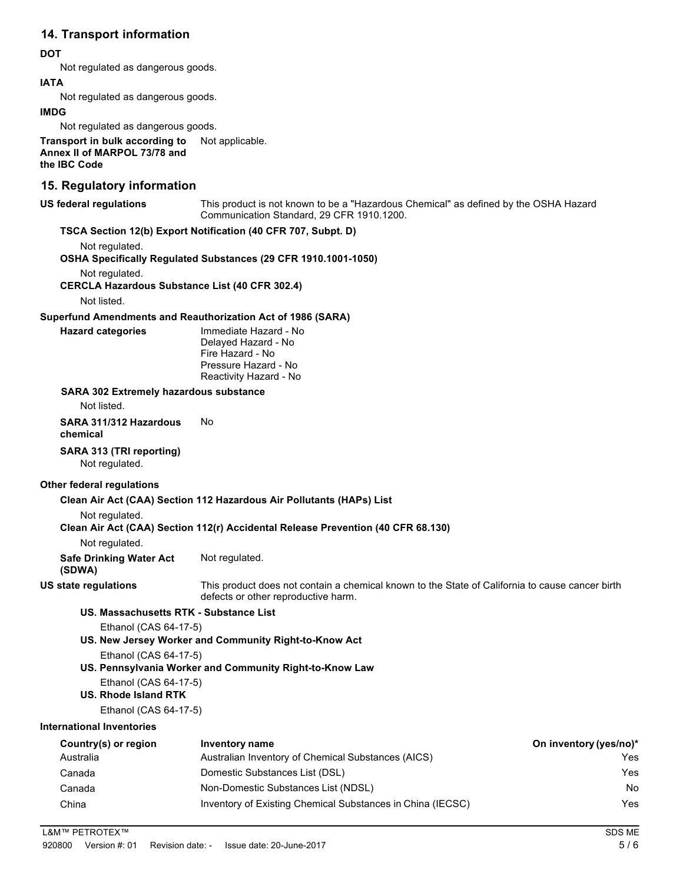## **14. Transport information**

#### **DOT**

Not regulated as dangerous goods.

#### **IATA**

Not regulated as dangerous goods.

#### **IMDG**

Not regulated as dangerous goods.

#### **Transport in bulk according to Annex II of MARPOL 73/78 and the IBC Code** Not applicable.

### **15. Regulatory information**

**US federal regulations**

This product is not known to be a "Hazardous Chemical" as defined by the OSHA Hazard Communication Standard, 29 CFR 1910.1200.

#### **TSCA Section 12(b) Export Notification (40 CFR 707, Subpt. D)**

Not regulated.

**OSHA Specifically Regulated Substances (29 CFR 1910.1001-1050)**

Not regulated.

**CERCLA Hazardous Substance List (40 CFR 302.4)**

Not listed.

#### **Superfund Amendments and Reauthorization Act of 1986 (SARA)**

| Hazard categories |  |
|-------------------|--|

**Hazard categories** Immediate Hazard - No Delayed Hazard - No Fire Hazard - No Pressure Hazard - No Reactivity Hazard - No

#### **SARA 302 Extremely hazardous substance**

Not listed.

#### **SARA 311/312 Hazardous** No **chemical**

## **SARA 313 (TRI reporting)**

Not regulated.

#### **Other federal regulations**

#### **Clean Air Act (CAA) Section 112 Hazardous Air Pollutants (HAPs) List**

Not regulated.

#### **Clean Air Act (CAA) Section 112(r) Accidental Release Prevention (40 CFR 68.130)**

Not regulated.

**Safe Drinking Water Act**  Not regulated.

## **(SDWA)**

**US state regulations**

This product does not contain a chemical known to the State of California to cause cancer birth defects or other reproductive harm.

## **US. Massachusetts RTK - Substance List**

Ethanol (CAS 64-17-5)

**US. New Jersey Worker and Community Right-to-Know Act**

Ethanol (CAS 64-17-5)

- **US. Pennsylvania Worker and Community Right-to-Know Law** Ethanol (CAS 64-17-5)
- **US. Rhode Island RTK**

Ethanol (CAS 64-17-5)

## **International Inventories**

| Country(s) or region | Inventory name                                             | On inventory (yes/no)* |
|----------------------|------------------------------------------------------------|------------------------|
| Australia            | Australian Inventory of Chemical Substances (AICS)         | Yes                    |
| Canada               | Domestic Substances List (DSL)                             | Yes                    |
| Canada               | Non-Domestic Substances List (NDSL)                        | No                     |
| China                | Inventory of Existing Chemical Substances in China (IECSC) | Yes                    |